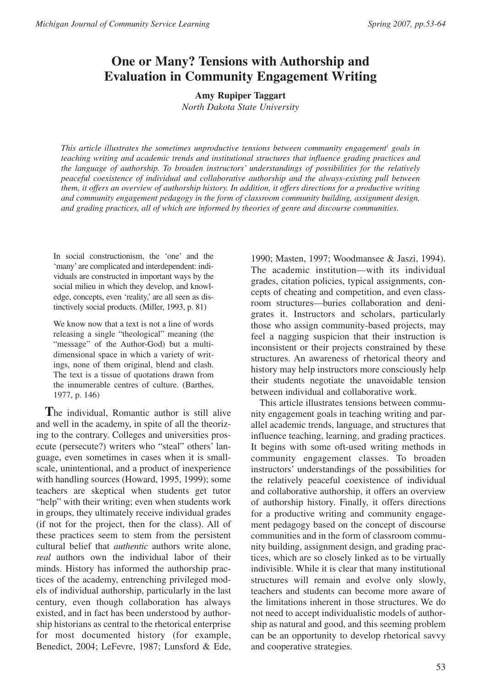# **One or Many? Tensions with Authorship and Evaluation in Community Engagement Writing**

**Amy Rupiper Taggart**

*North Dakota State University*

*This article illustrates the sometimes unproductive tensions between community engagement<sup>1</sup> goals in teaching writing and academic trends and institutional structures that influence grading practices and the language of authorship. To broaden instructors' understandings of possibilities for the relatively peaceful coexistence of individual and collaborative authorship and the always-existing pull between them, it offers an overview of authorship history. In addition, it offers directions for a productive writing and community engagement pedagogy in the form of classroom community building, assignment design, and grading practices, all of which are informed by theories of genre and discourse communities.* 

In social constructionism, the 'one' and the 'many' are complicated and interdependent: individuals are constructed in important ways by the social milieu in which they develop, and knowledge, concepts, even 'reality,' are all seen as distinctively social products. (Miller, 1993, p. 81)

We know now that a text is not a line of words releasing a single "theological" meaning (the "message" of the Author-God) but a multidimensional space in which a variety of writings, none of them original, blend and clash. The text is a tissue of quotations drawn from the innumerable centres of culture. (Barthes, 1977, p. 146)

**T**he individual, Romantic author is still alive and well in the academy, in spite of all the theorizing to the contrary. Colleges and universities prosecute (persecute?) writers who "steal" others' language, even sometimes in cases when it is smallscale, unintentional, and a product of inexperience with handling sources (Howard, 1995, 1999); some teachers are skeptical when students get tutor "help" with their writing; even when students work in groups, they ultimately receive individual grades (if not for the project, then for the class). All of these practices seem to stem from the persistent cultural belief that *authentic* authors write alone, *real* authors own the individual labor of their minds. History has informed the authorship practices of the academy, entrenching privileged models of individual authorship, particularly in the last century, even though collaboration has always existed, and in fact has been understood by authorship historians as central to the rhetorical enterprise for most documented history (for example, Benedict, 2004; LeFevre, 1987; Lunsford & Ede,

1990; Masten, 1997; Woodmansee & Jaszi, 1994). The academic institution—with its individual grades, citation policies, typical assignments, concepts of cheating and competition, and even classroom structures—buries collaboration and denigrates it. Instructors and scholars, particularly those who assign community-based projects, may feel a nagging suspicion that their instruction is inconsistent or their projects constrained by these structures. An awareness of rhetorical theory and history may help instructors more consciously help their students negotiate the unavoidable tension between individual and collaborative work.

This article illustrates tensions between community engagement goals in teaching writing and parallel academic trends, language, and structures that influence teaching, learning, and grading practices. It begins with some oft-used writing methods in community engagement classes. To broaden instructors' understandings of the possibilities for the relatively peaceful coexistence of individual and collaborative authorship, it offers an overview of authorship history. Finally, it offers directions for a productive writing and community engagement pedagogy based on the concept of discourse communities and in the form of classroom community building, assignment design, and grading practices, which are so closely linked as to be virtually indivisible. While it is clear that many institutional structures will remain and evolve only slowly, teachers and students can become more aware of the limitations inherent in those structures. We do not need to accept individualistic models of authorship as natural and good, and this seeming problem can be an opportunity to develop rhetorical savvy and cooperative strategies.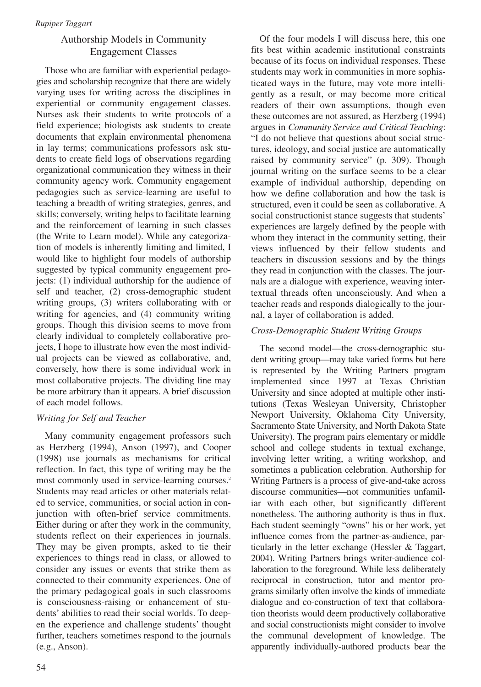# Authorship Models in Community Engagement Classes

Those who are familiar with experiential pedagogies and scholarship recognize that there are widely varying uses for writing across the disciplines in experiential or community engagement classes. Nurses ask their students to write protocols of a field experience; biologists ask students to create documents that explain environmental phenomena in lay terms; communications professors ask students to create field logs of observations regarding organizational communication they witness in their community agency work. Community engagement pedagogies such as service-learning are useful to teaching a breadth of writing strategies, genres, and skills; conversely, writing helps to facilitate learning and the reinforcement of learning in such classes (the Write to Learn model). While any categorization of models is inherently limiting and limited, I would like to highlight four models of authorship suggested by typical community engagement projects: (1) individual authorship for the audience of self and teacher, (2) cross-demographic student writing groups, (3) writers collaborating with or writing for agencies, and (4) community writing groups. Though this division seems to move from clearly individual to completely collaborative projects, I hope to illustrate how even the most individual projects can be viewed as collaborative, and, conversely, how there is some individual work in most collaborative projects. The dividing line may be more arbitrary than it appears. A brief discussion of each model follows.

# *Writing for Self and Teacher*

Many community engagement professors such as Herzberg (1994), Anson (1997), and Cooper (1998) use journals as mechanisms for critical reflection. In fact, this type of writing may be the most commonly used in service-learning courses.<sup>2</sup> Students may read articles or other materials related to service, communities, or social action in conjunction with often-brief service commitments. Either during or after they work in the community, students reflect on their experiences in journals. They may be given prompts, asked to tie their experiences to things read in class, or allowed to consider any issues or events that strike them as connected to their community experiences. One of the primary pedagogical goals in such classrooms is consciousness-raising or enhancement of students' abilities to read their social worlds. To deepen the experience and challenge students' thought further, teachers sometimes respond to the journals (e.g., Anson).

Of the four models I will discuss here, this one fits best within academic institutional constraints because of its focus on individual responses. These students may work in communities in more sophisticated ways in the future, may vote more intelligently as a result, or may become more critical readers of their own assumptions, though even these outcomes are not assured, as Herzberg (1994) argues in *Community Service and Critical Teaching*: "I do not believe that questions about social structures, ideology, and social justice are automatically raised by community service" (p. 309). Though journal writing on the surface seems to be a clear example of individual authorship, depending on how we define collaboration and how the task is structured, even it could be seen as collaborative. A social constructionist stance suggests that students' experiences are largely defined by the people with whom they interact in the community setting, their views influenced by their fellow students and teachers in discussion sessions and by the things they read in conjunction with the classes. The journals are a dialogue with experience, weaving intertextual threads often unconsciously. And when a teacher reads and responds dialogically to the journal, a layer of collaboration is added.

# *Cross-Demographic Student Writing Groups*

The second model—the cross-demographic student writing group—may take varied forms but here is represented by the Writing Partners program implemented since 1997 at Texas Christian University and since adopted at multiple other institutions (Texas Wesleyan University, Christopher Newport University, Oklahoma City University, Sacramento State University, and North Dakota State University). The program pairs elementary or middle school and college students in textual exchange, involving letter writing, a writing workshop, and sometimes a publication celebration. Authorship for Writing Partners is a process of give-and-take across discourse communities—not communities unfamiliar with each other, but significantly different nonetheless. The authoring authority is thus in flux. Each student seemingly "owns" his or her work, yet influence comes from the partner-as-audience, particularly in the letter exchange (Hessler & Taggart, 2004). Writing Partners brings writer-audience collaboration to the foreground. While less deliberately reciprocal in construction, tutor and mentor programs similarly often involve the kinds of immediate dialogue and co-construction of text that collaboration theorists would deem productively collaborative and social constructionists might consider to involve the communal development of knowledge. The apparently individually-authored products bear the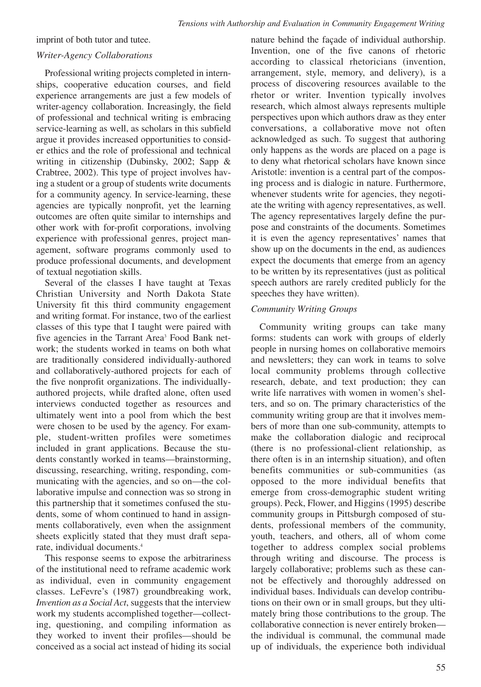imprint of both tutor and tutee.

#### *Writer-Agency Collaborations*

Professional writing projects completed in internships, cooperative education courses, and field experience arrangements are just a few models of writer-agency collaboration. Increasingly, the field of professional and technical writing is embracing service-learning as well, as scholars in this subfield argue it provides increased opportunities to consider ethics and the role of professional and technical writing in citizenship (Dubinsky, 2002; Sapp & Crabtree, 2002). This type of project involves having a student or a group of students write documents for a community agency. In service-learning, these agencies are typically nonprofit, yet the learning outcomes are often quite similar to internships and other work with for-profit corporations, involving experience with professional genres, project management, software programs commonly used to produce professional documents, and development of textual negotiation skills.

Several of the classes I have taught at Texas Christian University and North Dakota State University fit this third community engagement and writing format. For instance, two of the earliest classes of this type that I taught were paired with five agencies in the Tarrant Area<sup>3</sup> Food Bank network; the students worked in teams on both what are traditionally considered individually-authored and collaboratively-authored projects for each of the five nonprofit organizations. The individuallyauthored projects, while drafted alone, often used interviews conducted together as resources and ultimately went into a pool from which the best were chosen to be used by the agency. For example, student-written profiles were sometimes included in grant applications. Because the students constantly worked in teams—brainstorming, discussing, researching, writing, responding, communicating with the agencies, and so on—the collaborative impulse and connection was so strong in this partnership that it sometimes confused the students, some of whom continued to hand in assignments collaboratively, even when the assignment sheets explicitly stated that they must draft separate, individual documents.4

This response seems to expose the arbitrariness of the institutional need to reframe academic work as individual, even in community engagement classes. LeFevre's (1987) groundbreaking work, *Invention as a Social Act*, suggests that the interview work my students accomplished together—collecting, questioning, and compiling information as they worked to invent their profiles—should be conceived as a social act instead of hiding its social nature behind the façade of individual authorship. Invention, one of the five canons of rhetoric according to classical rhetoricians (invention, arrangement, style, memory, and delivery), is a process of discovering resources available to the rhetor or writer. Invention typically involves research, which almost always represents multiple perspectives upon which authors draw as they enter conversations, a collaborative move not often acknowledged as such. To suggest that authoring only happens as the words are placed on a page is to deny what rhetorical scholars have known since Aristotle: invention is a central part of the composing process and is dialogic in nature. Furthermore, whenever students write for agencies, they negotiate the writing with agency representatives, as well. The agency representatives largely define the purpose and constraints of the documents. Sometimes it is even the agency representatives' names that show up on the documents in the end, as audiences expect the documents that emerge from an agency to be written by its representatives (just as political speech authors are rarely credited publicly for the speeches they have written).

### *Community Writing Groups*

Community writing groups can take many forms: students can work with groups of elderly people in nursing homes on collaborative memoirs and newsletters; they can work in teams to solve local community problems through collective research, debate, and text production; they can write life narratives with women in women's shelters, and so on. The primary characteristics of the community writing group are that it involves members of more than one sub-community, attempts to make the collaboration dialogic and reciprocal (there is no professional-client relationship, as there often is in an internship situation), and often benefits communities or sub-communities (as opposed to the more individual benefits that emerge from cross-demographic student writing groups). Peck, Flower, and Higgins (1995) describe community groups in Pittsburgh composed of students, professional members of the community, youth, teachers, and others, all of whom come together to address complex social problems through writing and discourse. The process is largely collaborative; problems such as these cannot be effectively and thoroughly addressed on individual bases. Individuals can develop contributions on their own or in small groups, but they ultimately bring those contributions to the group. The collaborative connection is never entirely broken the individual is communal, the communal made up of individuals, the experience both individual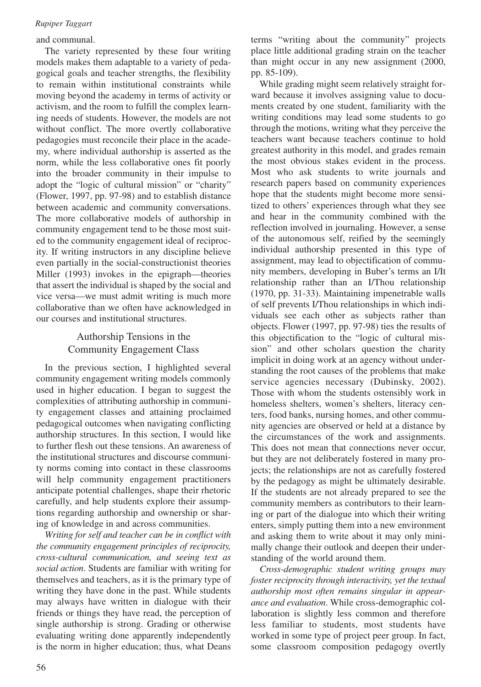#### and communal.

The variety represented by these four writing models makes them adaptable to a variety of pedagogical goals and teacher strengths, the flexibility to remain within institutional constraints while moving beyond the academy in terms of activity or activism, and the room to fulfill the complex learning needs of students. However, the models are not without conflict. The more overtly collaborative pedagogies must reconcile their place in the academy, where individual authorship is asserted as the norm, while the less collaborative ones fit poorly into the broader community in their impulse to adopt the "logic of cultural mission" or "charity" (Flower, 1997, pp. 97-98) and to establish distance between academic and community conversations. The more collaborative models of authorship in community engagement tend to be those most suited to the community engagement ideal of reciprocity. If writing instructors in any discipline believe even partially in the social-constructionist theories Miller (1993) invokes in the epigraph—theories that assert the individual is shaped by the social and vice versa—we must admit writing is much more collaborative than we often have acknowledged in our courses and institutional structures.

# Authorship Tensions in the Community Engagement Class

In the previous section, I highlighted several community engagement writing models commonly used in higher education. I began to suggest the complexities of attributing authorship in community engagement classes and attaining proclaimed pedagogical outcomes when navigating conflicting authorship structures. In this section, I would like to further flesh out these tensions. An awareness of the institutional structures and discourse community norms coming into contact in these classrooms will help community engagement practitioners anticipate potential challenges, shape their rhetoric carefully, and help students explore their assumptions regarding authorship and ownership or sharing of knowledge in and across communities.

*Writing for self and teacher can be in conflict with the community engagement principles of reciprocity, cross-cultural communication, and seeing text as social action*. Students are familiar with writing for themselves and teachers, as it is the primary type of writing they have done in the past. While students may always have written in dialogue with their friends or things they have read, the perception of single authorship is strong. Grading or otherwise evaluating writing done apparently independently is the norm in higher education; thus, what Deans terms "writing about the community" projects place little additional grading strain on the teacher than might occur in any new assignment (2000, pp. 85-109).

While grading might seem relatively straight forward because it involves assigning value to documents created by one student, familiarity with the writing conditions may lead some students to go through the motions, writing what they perceive the teachers want because teachers continue to hold greatest authority in this model, and grades remain the most obvious stakes evident in the process. Most who ask students to write journals and research papers based on community experiences hope that the students might become more sensitized to others' experiences through what they see and hear in the community combined with the reflection involved in journaling. However, a sense of the autonomous self, reified by the seemingly individual authorship presented in this type of assignment, may lead to objectification of community members, developing in Buber's terms an I/It relationship rather than an I/Thou relationship (1970, pp. 31-33). Maintaining impenetrable walls of self prevents I/Thou relationships in which individuals see each other as subjects rather than objects. Flower (1997, pp. 97-98) ties the results of this objectification to the "logic of cultural mission" and other scholars question the charity implicit in doing work at an agency without understanding the root causes of the problems that make service agencies necessary (Dubinsky, 2002). Those with whom the students ostensibly work in homeless shelters, women's shelters, literacy centers, food banks, nursing homes, and other community agencies are observed or held at a distance by the circumstances of the work and assignments. This does not mean that connections never occur, but they are not deliberately fostered in many projects; the relationships are not as carefully fostered by the pedagogy as might be ultimately desirable. If the students are not already prepared to see the community members as contributors to their learning or part of the dialogue into which their writing enters, simply putting them into a new environment and asking them to write about it may only minimally change their outlook and deepen their understanding of the world around them.

*Cross-demographic student writing groups may foster reciprocity through interactivity, yet the textual authorship most often remains singular in appearance and evaluation*. While cross-demographic collaboration is slightly less common and therefore less familiar to students, most students have worked in some type of project peer group. In fact, some classroom composition pedagogy overtly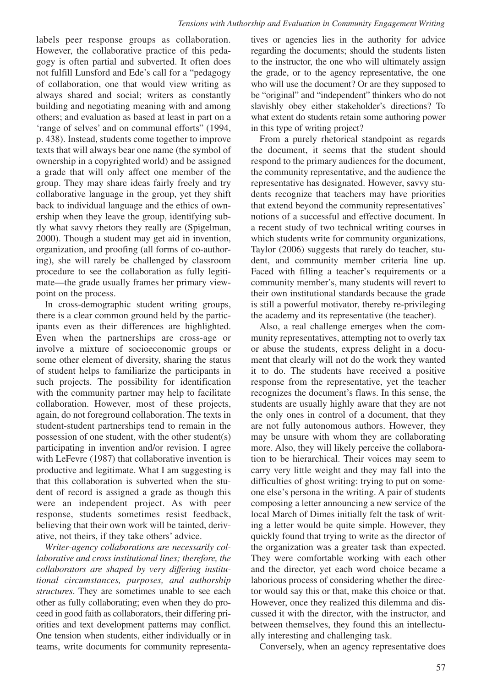labels peer response groups as collaboration. However, the collaborative practice of this pedagogy is often partial and subverted. It often does not fulfill Lunsford and Ede's call for a "pedagogy of collaboration, one that would view writing as always shared and social; writers as constantly building and negotiating meaning with and among others; and evaluation as based at least in part on a 'range of selves' and on communal efforts" (1994, p. 438). Instead, students come together to improve texts that will always bear one name (the symbol of ownership in a copyrighted world) and be assigned a grade that will only affect one member of the group. They may share ideas fairly freely and try collaborative language in the group, yet they shift back to individual language and the ethics of ownership when they leave the group, identifying subtly what savvy rhetors they really are (Spigelman, 2000). Though a student may get aid in invention, organization, and proofing (all forms of co-authoring), she will rarely be challenged by classroom procedure to see the collaboration as fully legitimate—the grade usually frames her primary viewpoint on the process.

In cross-demographic student writing groups, there is a clear common ground held by the participants even as their differences are highlighted. Even when the partnerships are cross-age or involve a mixture of socioeconomic groups or some other element of diversity, sharing the status of student helps to familiarize the participants in such projects. The possibility for identification with the community partner may help to facilitate collaboration. However, most of these projects, again, do not foreground collaboration. The texts in student-student partnerships tend to remain in the possession of one student, with the other student(s) participating in invention and/or revision. I agree with LeFevre (1987) that collaborative invention is productive and legitimate. What I am suggesting is that this collaboration is subverted when the student of record is assigned a grade as though this were an independent project. As with peer response, students sometimes resist feedback, believing that their own work will be tainted, derivative, not theirs, if they take others' advice.

*Writer-agency collaborations are necessarily collaborative and cross institutional lines; therefore, the collaborators are shaped by very differing institutional circumstances, purposes, and authorship structures*. They are sometimes unable to see each other as fully collaborating; even when they do proceed in good faith as collaborators, their differing priorities and text development patterns may conflict. One tension when students, either individually or in teams, write documents for community representatives or agencies lies in the authority for advice regarding the documents; should the students listen to the instructor, the one who will ultimately assign the grade, or to the agency representative, the one who will use the document? Or are they supposed to be "original" and "independent" thinkers who do not slavishly obey either stakeholder's directions? To what extent do students retain some authoring power in this type of writing project?

From a purely rhetorical standpoint as regards the document, it seems that the student should respond to the primary audiences for the document, the community representative, and the audience the representative has designated. However, savvy students recognize that teachers may have priorities that extend beyond the community representatives' notions of a successful and effective document. In a recent study of two technical writing courses in which students write for community organizations, Taylor (2006) suggests that rarely do teacher, student, and community member criteria line up. Faced with filling a teacher's requirements or a community member's, many students will revert to their own institutional standards because the grade is still a powerful motivator, thereby re-privileging the academy and its representative (the teacher).

Also, a real challenge emerges when the community representatives, attempting not to overly tax or abuse the students, express delight in a document that clearly will not do the work they wanted it to do. The students have received a positive response from the representative, yet the teacher recognizes the document's flaws. In this sense, the students are usually highly aware that they are not the only ones in control of a document, that they are not fully autonomous authors. However, they may be unsure with whom they are collaborating more. Also, they will likely perceive the collaboration to be hierarchical. Their voices may seem to carry very little weight and they may fall into the difficulties of ghost writing: trying to put on someone else's persona in the writing. A pair of students composing a letter announcing a new service of the local March of Dimes initially felt the task of writing a letter would be quite simple. However, they quickly found that trying to write as the director of the organization was a greater task than expected. They were comfortable working with each other and the director, yet each word choice became a laborious process of considering whether the director would say this or that, make this choice or that. However, once they realized this dilemma and discussed it with the director, with the instructor, and between themselves, they found this an intellectually interesting and challenging task.

Conversely, when an agency representative does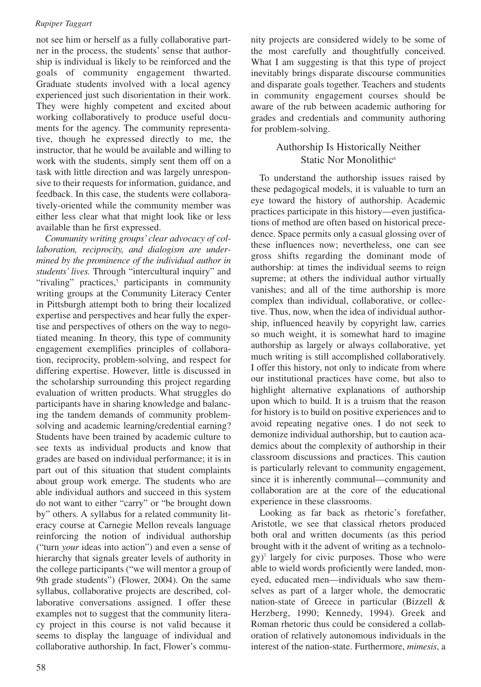not see him or herself as a fully collaborative partner in the process, the students' sense that authorship is individual is likely to be reinforced and the goals of community engagement thwarted. Graduate students involved with a local agency experienced just such disorientation in their work. They were highly competent and excited about working collaboratively to produce useful documents for the agency. The community representative, though he expressed directly to me, the instructor, that he would be available and willing to work with the students, simply sent them off on a task with little direction and was largely unresponsive to their requests for information, guidance, and feedback. In this case, the students were collaboratively-oriented while the community member was either less clear what that might look like or less available than he first expressed.

*Community writing groups' clear advocacy of collaboration, reciprocity, and dialogism are undermined by the prominence of the individual author in students' lives.* Through "intercultural inquiry" and "rivaling" practices,<sup>5</sup> participants in community writing groups at the Community Literacy Center in Pittsburgh attempt both to bring their localized expertise and perspectives and hear fully the expertise and perspectives of others on the way to negotiated meaning. In theory, this type of community engagement exemplifies principles of collaboration, reciprocity, problem-solving, and respect for differing expertise. However, little is discussed in the scholarship surrounding this project regarding evaluation of written products. What struggles do participants have in sharing knowledge and balancing the tandem demands of community problemsolving and academic learning/credential earning? Students have been trained by academic culture to see texts as individual products and know that grades are based on individual performance; it is in part out of this situation that student complaints about group work emerge. The students who are able individual authors and succeed in this system do not want to either "carry" or "be brought down by" others. A syllabus for a related community literacy course at Carnegie Mellon reveals language reinforcing the notion of individual authorship ("turn *your* ideas into action") and even a sense of hierarchy that signals greater levels of authority in the college participants ("we will mentor a group of 9th grade students") (Flower, 2004). On the same syllabus, collaborative projects are described, collaborative conversations assigned. I offer these examples not to suggest that the community literacy project in this course is not valid because it seems to display the language of individual and collaborative authorship. In fact, Flower's community projects are considered widely to be some of the most carefully and thoughtfully conceived. What I am suggesting is that this type of project inevitably brings disparate discourse communities and disparate goals together. Teachers and students in community engagement courses should be aware of the rub between academic authoring for grades and credentials and community authoring for problem-solving.

### Authorship Is Historically Neither Static Nor Monolithic<sup>6</sup>

To understand the authorship issues raised by these pedagogical models, it is valuable to turn an eye toward the history of authorship. Academic practices participate in this history—even justifications of method are often based on historical precedence. Space permits only a casual glossing over of these influences now; nevertheless, one can see gross shifts regarding the dominant mode of authorship: at times the individual seems to reign supreme; at others the individual author virtually vanishes; and all of the time authorship is more complex than individual, collaborative, or collective. Thus, now, when the idea of individual authorship, influenced heavily by copyright law, carries so much weight, it is somewhat hard to imagine authorship as largely or always collaborative, yet much writing is still accomplished collaboratively. I offer this history, not only to indicate from where our institutional practices have come, but also to highlight alternative explanations of authorship upon which to build. It is a truism that the reason for history is to build on positive experiences and to avoid repeating negative ones. I do not seek to demonize individual authorship, but to caution academics about the complexity of authorship in their classroom discussions and practices. This caution is particularly relevant to community engagement, since it is inherently communal—community and collaboration are at the core of the educational experience in these classrooms.

Looking as far back as rhetoric's forefather, Aristotle, we see that classical rhetors produced both oral and written documents (as this period brought with it the advent of writing as a technology)7 largely for civic purposes. Those who were able to wield words proficiently were landed, moneyed, educated men—individuals who saw themselves as part of a larger whole, the democratic nation-state of Greece in particular (Bizzell & Herzberg, 1990; Kennedy, 1994). Greek and Roman rhetoric thus could be considered a collaboration of relatively autonomous individuals in the interest of the nation-state. Furthermore, *mimesis*, a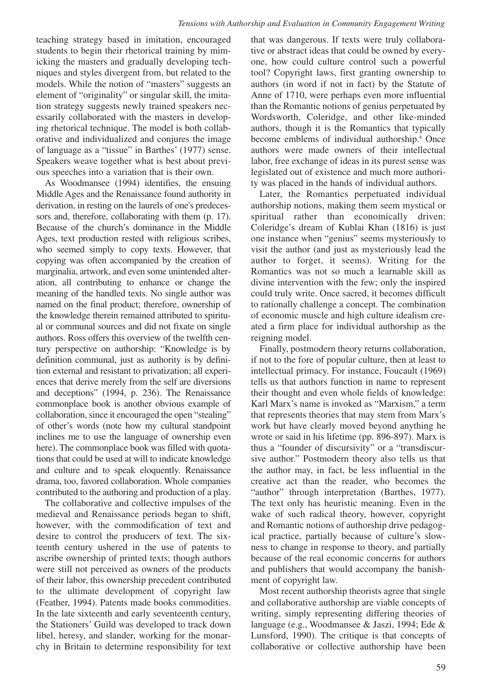teaching strategy based in imitation, encouraged students to begin their rhetorical training by mimicking the masters and gradually developing techniques and styles divergent from, but related to the models. While the notion of "masters" suggests an element of "originality" or singular skill, the imitation strategy suggests newly trained speakers necessarily collaborated with the masters in developing rhetorical technique. The model is both collaborative and individualized and conjures the image of language as a "tissue" in Barthes' (1977) sense. Speakers weave together what is best about previous speeches into a variation that is their own.

As Woodmansee (1994) identifies, the ensuing Middle Ages and the Renaissance found authority in derivation, in resting on the laurels of one's predecessors and, therefore, collaborating with them (p. 17). Because of the church's dominance in the Middle Ages, text production rested with religious scribes, who seemed simply to copy texts. However, that copying was often accompanied by the creation of marginalia, artwork, and even some unintended alteration, all contributing to enhance or change the meaning of the handled texts. No single author was named on the final product; therefore, ownership of the knowledge therein remained attributed to spiritual or communal sources and did not fixate on single authors. Ross offers this overview of the twelfth century perspective on authorship: "Knowledge is by definition communal, just as authority is by definition external and resistant to privatization; all experiences that derive merely from the self are diversions and deceptions" (1994, p. 236). The Renaissance commonplace book is another obvious example of collaboration, since it encouraged the open "stealing" of other's words (note how my cultural standpoint inclines me to use the language of ownership even here). The commonplace book was filled with quotations that could be used at will to indicate knowledge and culture and to speak eloquently. Renaissance drama, too, favored collaboration. Whole companies contributed to the authoring and production of a play.

The collaborative and collective impulses of the medieval and Renaissance periods began to shift, however, with the commodification of text and desire to control the producers of text. The sixteenth century ushered in the use of patents to ascribe ownership of printed texts; though authors were still not perceived as owners of the products of their labor, this ownership precedent contributed to the ultimate development of copyright law (Feather, 1994). Patents made books commodities. In the late sixteenth and early seventeenth century, the Stationers' Guild was developed to track down libel, heresy, and slander, working for the monarchy in Britain to determine responsibility for text

that was dangerous. If texts were truly collaborative or abstract ideas that could be owned by everyone, how could culture control such a powerful tool? Copyright laws, first granting ownership to authors (in word if not in fact) by the Statute of Anne of 1710, were perhaps even more influential than the Romantic notions of genius perpetuated by Wordsworth, Coleridge, and other like-minded authors, though it is the Romantics that typically become emblems of individual authorship.<sup>8</sup> Once authors were made owners of their intellectual labor, free exchange of ideas in its purest sense was legislated out of existence and much more authority was placed in the hands of individual authors.

Later, the Romantics perpetuated individual authorship notions, making them seem mystical or spiritual rather than economically driven: Coleridge's dream of Kublai Khan (1816) is just one instance when "genius" seems mysteriously to visit the author (and just as mysteriously lead the author to forget, it seems). Writing for the Romantics was not so much a learnable skill as divine intervention with the few; only the inspired could truly write. Once sacred, it becomes difficult to rationally challenge a concept. The combination of economic muscle and high culture idealism created a firm place for individual authorship as the reigning model.

Finally, postmodern theory returns collaboration, if not to the fore of popular culture, then at least to intellectual primacy. For instance, Foucault (1969) tells us that authors function in name to represent their thought and even whole fields of knowledge: Karl Marx's name is invoked as "Marxism," a term that represents theories that may stem from Marx's work but have clearly moved beyond anything he wrote or said in his lifetime (pp. 896-897). Marx is thus a "founder of discursivity" or a "transdiscursive author." Postmodern theory also tells us that the author may, in fact, be less influential in the creative act than the reader, who becomes the "author" through interpretation (Barthes, 1977). The text only has heuristic meaning. Even in the wake of such radical theory, however, copyright and Romantic notions of authorship drive pedagogical practice, partially because of culture's slowness to change in response to theory, and partially because of the real economic concerns for authors and publishers that would accompany the banishment of copyright law.

Most recent authorship theorists agree that single and collaborative authorship are viable concepts of writing, simply representing differing theories of language (e.g., Woodmansee & Jaszi, 1994; Ede & Lunsford, 1990). The critique is that concepts of collaborative or collective authorship have been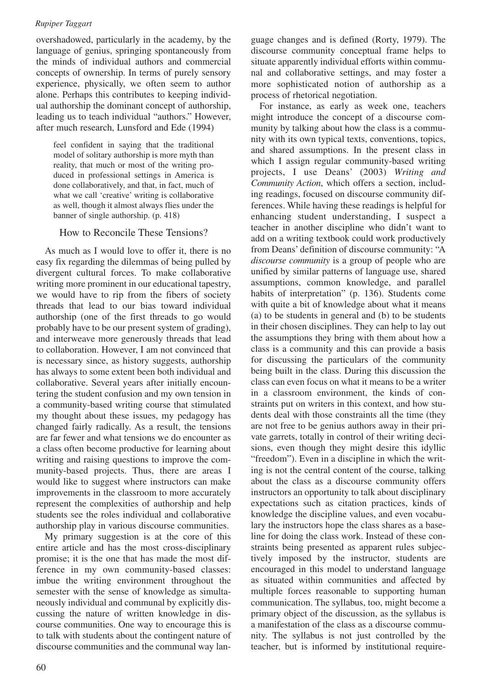overshadowed, particularly in the academy, by the language of genius, springing spontaneously from the minds of individual authors and commercial concepts of ownership. In terms of purely sensory experience, physically, we often seem to author alone. Perhaps this contributes to keeping individual authorship the dominant concept of authorship, leading us to teach individual "authors." However, after much research, Lunsford and Ede (1994)

feel confident in saying that the traditional model of solitary authorship is more myth than reality, that much or most of the writing produced in professional settings in America is done collaboratively, and that, in fact, much of what we call 'creative' writing is collaborative as well, though it almost always flies under the banner of single authorship. (p. 418)

### How to Reconcile These Tensions?

As much as I would love to offer it, there is no easy fix regarding the dilemmas of being pulled by divergent cultural forces. To make collaborative writing more prominent in our educational tapestry, we would have to rip from the fibers of society threads that lead to our bias toward individual authorship (one of the first threads to go would probably have to be our present system of grading), and interweave more generously threads that lead to collaboration. However, I am not convinced that is necessary since, as history suggests, authorship has always to some extent been both individual and collaborative. Several years after initially encountering the student confusion and my own tension in a community-based writing course that stimulated my thought about these issues, my pedagogy has changed fairly radically. As a result, the tensions are far fewer and what tensions we do encounter as a class often become productive for learning about writing and raising questions to improve the community-based projects. Thus, there are areas I would like to suggest where instructors can make improvements in the classroom to more accurately represent the complexities of authorship and help students see the roles individual and collaborative authorship play in various discourse communities.

My primary suggestion is at the core of this entire article and has the most cross-disciplinary promise; it is the one that has made the most difference in my own community-based classes: imbue the writing environment throughout the semester with the sense of knowledge as simultaneously individual and communal by explicitly discussing the nature of written knowledge in discourse communities. One way to encourage this is to talk with students about the contingent nature of discourse communities and the communal way lan-

guage changes and is defined (Rorty, 1979). The discourse community conceptual frame helps to situate apparently individual efforts within communal and collaborative settings, and may foster a more sophisticated notion of authorship as a process of rhetorical negotiation.

For instance, as early as week one, teachers might introduce the concept of a discourse community by talking about how the class is a community with its own typical texts, conventions, topics, and shared assumptions. In the present class in which I assign regular community-based writing projects, I use Deans' (2003) *Writing and Community Action*, which offers a section, including readings, focused on discourse community differences. While having these readings is helpful for enhancing student understanding, I suspect a teacher in another discipline who didn't want to add on a writing textbook could work productively from Deans' definition of discourse community: "A *discourse community* is a group of people who are unified by similar patterns of language use, shared assumptions, common knowledge, and parallel habits of interpretation" (p. 136). Students come with quite a bit of knowledge about what it means (a) to be students in general and (b) to be students in their chosen disciplines. They can help to lay out the assumptions they bring with them about how a class is a community and this can provide a basis for discussing the particulars of the community being built in the class. During this discussion the class can even focus on what it means to be a writer in a classroom environment, the kinds of constraints put on writers in this context, and how students deal with those constraints all the time (they are not free to be genius authors away in their private garrets, totally in control of their writing decisions, even though they might desire this idyllic "freedom"). Even in a discipline in which the writing is not the central content of the course, talking about the class as a discourse community offers instructors an opportunity to talk about disciplinary expectations such as citation practices, kinds of knowledge the discipline values, and even vocabulary the instructors hope the class shares as a baseline for doing the class work. Instead of these constraints being presented as apparent rules subjectively imposed by the instructor, students are encouraged in this model to understand language as situated within communities and affected by multiple forces reasonable to supporting human communication. The syllabus, too, might become a primary object of the discussion, as the syllabus is a manifestation of the class as a discourse community. The syllabus is not just controlled by the teacher, but is informed by institutional require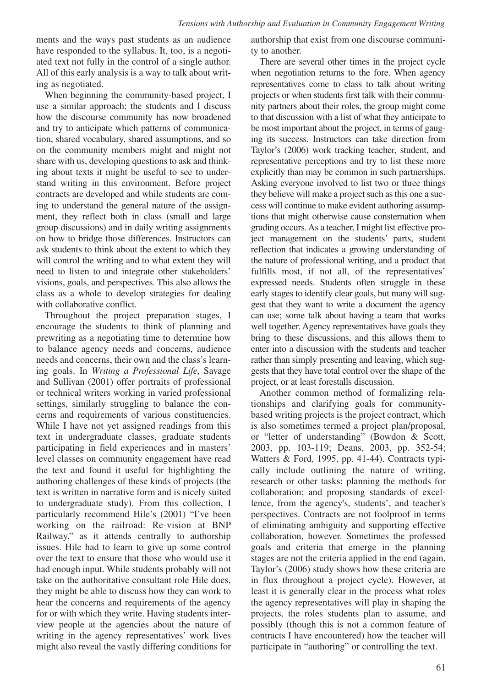ments and the ways past students as an audience have responded to the syllabus. It, too, is a negotiated text not fully in the control of a single author. All of this early analysis is a way to talk about writing as negotiated.

When beginning the community-based project, I use a similar approach: the students and I discuss how the discourse community has now broadened and try to anticipate which patterns of communication, shared vocabulary, shared assumptions, and so on the community members might and might not share with us, developing questions to ask and thinking about texts it might be useful to see to understand writing in this environment. Before project contracts are developed and while students are coming to understand the general nature of the assignment, they reflect both in class (small and large group discussions) and in daily writing assignments on how to bridge those differences. Instructors can ask students to think about the extent to which they will control the writing and to what extent they will need to listen to and integrate other stakeholders' visions, goals, and perspectives. This also allows the class as a whole to develop strategies for dealing with collaborative conflict.

Throughout the project preparation stages, I encourage the students to think of planning and prewriting as a negotiating time to determine how to balance agency needs and concerns, audience needs and concerns, their own and the class's learning goals. In *Writing a Professional Life*, Savage and Sullivan (2001) offer portraits of professional or technical writers working in varied professional settings, similarly struggling to balance the concerns and requirements of various constituencies. While I have not yet assigned readings from this text in undergraduate classes, graduate students participating in field experiences and in masters' level classes on community engagement have read the text and found it useful for highlighting the authoring challenges of these kinds of projects (the text is written in narrative form and is nicely suited to undergraduate study). From this collection, I particularly recommend Hile's (2001) "I've been working on the railroad: Re-vision at BNP Railway," as it attends centrally to authorship issues. Hile had to learn to give up some control over the text to ensure that those who would use it had enough input. While students probably will not take on the authoritative consultant role Hile does, they might be able to discuss how they can work to hear the concerns and requirements of the agency for or with which they write. Having students interview people at the agencies about the nature of writing in the agency representatives' work lives might also reveal the vastly differing conditions for authorship that exist from one discourse community to another.

There are several other times in the project cycle when negotiation returns to the fore. When agency representatives come to class to talk about writing projects or when students first talk with their community partners about their roles, the group might come to that discussion with a list of what they anticipate to be most important about the project, in terms of gauging its success. Instructors can take direction from Taylor's (2006) work tracking teacher, student, and representative perceptions and try to list these more explicitly than may be common in such partnerships. Asking everyone involved to list two or three things they believe will make a project such as this one a success will continue to make evident authoring assumptions that might otherwise cause consternation when grading occurs. As a teacher, I might list effective project management on the students' parts, student reflection that indicates a growing understanding of the nature of professional writing, and a product that fulfills most, if not all, of the representatives' expressed needs. Students often struggle in these early stages to identify clear goals, but many will suggest that they want to write a document the agency can use; some talk about having a team that works well together. Agency representatives have goals they bring to these discussions, and this allows them to enter into a discussion with the students and teacher rather than simply presenting and leaving, which suggests that they have total control over the shape of the project, or at least forestalls discussion.

Another common method of formalizing relationships and clarifying goals for communitybased writing projects is the project contract, which is also sometimes termed a project plan/proposal, or "letter of understanding" (Bowdon & Scott, 2003, pp. 103-119; Deans, 2003, pp. 352-54; Watters & Ford, 1995, pp. 41-44). Contracts typically include outlining the nature of writing, research or other tasks; planning the methods for collaboration; and proposing standards of excellence, from the agency's, students', and teacher's perspectives. Contracts are not foolproof in terms of eliminating ambiguity and supporting effective collaboration, however. Sometimes the professed goals and criteria that emerge in the planning stages are not the criteria applied in the end (again, Taylor's (2006) study shows how these criteria are in flux throughout a project cycle). However, at least it is generally clear in the process what roles the agency representatives will play in shaping the projects, the roles students plan to assume, and possibly (though this is not a common feature of contracts I have encountered) how the teacher will participate in "authoring" or controlling the text.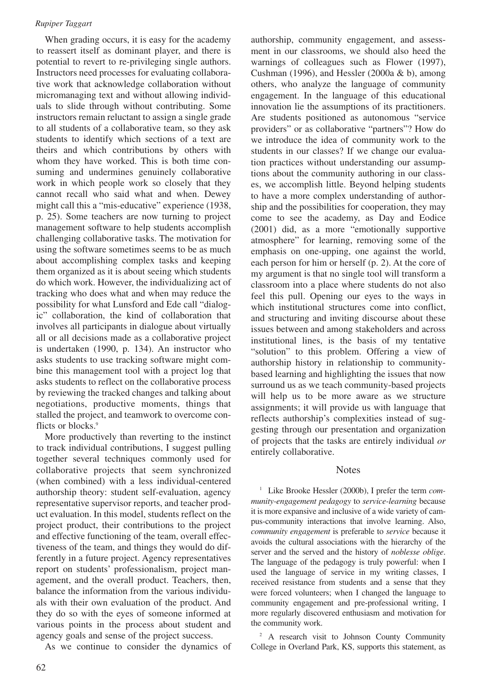When grading occurs, it is easy for the academy to reassert itself as dominant player, and there is potential to revert to re-privileging single authors. Instructors need processes for evaluating collaborative work that acknowledge collaboration without micromanaging text and without allowing individuals to slide through without contributing. Some instructors remain reluctant to assign a single grade to all students of a collaborative team, so they ask students to identify which sections of a text are theirs and which contributions by others with whom they have worked. This is both time consuming and undermines genuinely collaborative work in which people work so closely that they cannot recall who said what and when. Dewey might call this a "mis-educative" experience (1938, p. 25). Some teachers are now turning to project management software to help students accomplish challenging collaborative tasks. The motivation for using the software sometimes seems to be as much about accomplishing complex tasks and keeping them organized as it is about seeing which students do which work. However, the individualizing act of tracking who does what and when may reduce the possibility for what Lunsford and Ede call "dialogic" collaboration, the kind of collaboration that involves all participants in dialogue about virtually all or all decisions made as a collaborative project is undertaken (1990, p. 134). An instructor who asks students to use tracking software might combine this management tool with a project log that asks students to reflect on the collaborative process by reviewing the tracked changes and talking about negotiations, productive moments, things that stalled the project, and teamwork to overcome conflicts or blocks.<sup>9</sup>

More productively than reverting to the instinct to track individual contributions, I suggest pulling together several techniques commonly used for collaborative projects that seem synchronized (when combined) with a less individual-centered authorship theory: student self-evaluation, agency representative supervisor reports, and teacher product evaluation. In this model, students reflect on the project product, their contributions to the project and effective functioning of the team, overall effectiveness of the team, and things they would do differently in a future project. Agency representatives report on students' professionalism, project management, and the overall product. Teachers, then, balance the information from the various individuals with their own evaluation of the product. And they do so with the eyes of someone informed at various points in the process about student and agency goals and sense of the project success.

As we continue to consider the dynamics of

authorship, community engagement, and assessment in our classrooms, we should also heed the warnings of colleagues such as Flower (1997), Cushman (1996), and Hessler (2000a & b), among others, who analyze the language of community engagement. In the language of this educational innovation lie the assumptions of its practitioners. Are students positioned as autonomous "service providers" or as collaborative "partners"? How do we introduce the idea of community work to the students in our classes? If we change our evaluation practices without understanding our assumptions about the community authoring in our classes, we accomplish little. Beyond helping students to have a more complex understanding of authorship and the possibilities for cooperation, they may come to see the academy, as Day and Eodice (2001) did, as a more "emotionally supportive atmosphere" for learning, removing some of the emphasis on one-upping, one against the world, each person for him or herself (p. 2). At the core of my argument is that no single tool will transform a classroom into a place where students do not also feel this pull. Opening our eyes to the ways in which institutional structures come into conflict, and structuring and inviting discourse about these issues between and among stakeholders and across institutional lines, is the basis of my tentative "solution" to this problem. Offering a view of authorship history in relationship to communitybased learning and highlighting the issues that now surround us as we teach community-based projects will help us to be more aware as we structure assignments; it will provide us with language that reflects authorship's complexities instead of suggesting through our presentation and organization of projects that the tasks are entirely individual *or* entirely collaborative.

### **Notes**

<sup>1</sup> Like Brooke Hessler (2000b), I prefer the term *community-engagement pedagogy* to *service-learning* because it is more expansive and inclusive of a wide variety of campus-community interactions that involve learning. Also, *community engagement* is preferable to *service* because it avoids the cultural associations with the hierarchy of the server and the served and the history of *noblesse oblige*. The language of the pedagogy is truly powerful: when I used the language of service in my writing classes, I received resistance from students and a sense that they were forced volunteers; when I changed the language to community engagement and pre-professional writing, I more regularly discovered enthusiasm and motivation for the community work.

<sup>2</sup> A research visit to Johnson County Community College in Overland Park, KS, supports this statement, as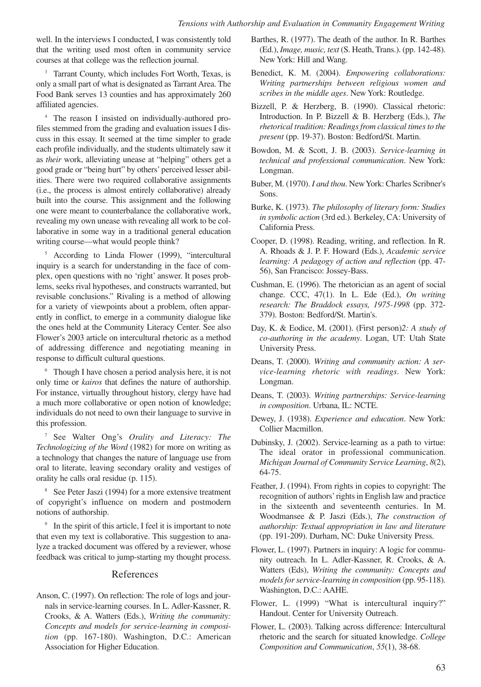well. In the interviews I conducted, I was consistently told that the writing used most often in community service courses at that college was the reflection journal.

<sup>3</sup> Tarrant County, which includes Fort Worth, Texas, is only a small part of what is designated as Tarrant Area. The Food Bank serves 13 counties and has approximately 260 affiliated agencies.

<sup>4</sup> The reason I insisted on individually-authored profiles stemmed from the grading and evaluation issues I discuss in this essay. It seemed at the time simpler to grade each profile individually, and the students ultimately saw it as *their* work, alleviating unease at "helping" others get a good grade or "being hurt" by others' perceived lesser abilities. There were two required collaborative assignments (i.e., the process is almost entirely collaborative) already built into the course. This assignment and the following one were meant to counterbalance the collaborative work, revealing my own unease with revealing all work to be collaborative in some way in a traditional general education writing course—what would people think?

<sup>5</sup> According to Linda Flower (1999), "intercultural inquiry is a search for understanding in the face of complex, open questions with no 'right' answer. It poses problems, seeks rival hypotheses, and constructs warranted, but revisable conclusions." Rivaling is a method of allowing for a variety of viewpoints about a problem, often apparently in conflict, to emerge in a community dialogue like the ones held at the Community Literacy Center. See also Flower's 2003 article on intercultural rhetoric as a method of addressing difference and negotiating meaning in response to difficult cultural questions.

<sup>6</sup> Though I have chosen a period analysis here, it is not only time or *kairos* that defines the nature of authorship. For instance, virtually throughout history, clergy have had a much more collaborative or open notion of knowledge; individuals do not need to own their language to survive in this profession.

<sup>7</sup> See Walter Ong's *Orality and Literacy: The Technologizing of the Word* (1982) for more on writing as a technology that changes the nature of language use from oral to literate, leaving secondary orality and vestiges of orality he calls oral residue (p. 115).

<sup>8</sup> See Peter Jaszi (1994) for a more extensive treatment of copyright's influence on modern and postmodern notions of authorship.

<sup>9</sup> In the spirit of this article, I feel it is important to note that even my text is collaborative. This suggestion to analyze a tracked document was offered by a reviewer, whose feedback was critical to jump-starting my thought process.

### References

Anson, C. (1997). On reflection: The role of logs and journals in service-learning courses. In L. Adler-Kassner, R. Crooks, & A. Watters (Eds.), *Writing the community: Concepts and models for service-learning in composition* (pp. 167-180). Washington, D.C.: American Association for Higher Education.

- Barthes, R. (1977). The death of the author. In R. Barthes (Ed.), *Image, music, text* (S. Heath, Trans.). (pp. 142-48). New York: Hill and Wang.
- Benedict, K. M. (2004). *Empowering collaborations: Writing partnerships between religious women and scribes in the middle ages*. New York: Routledge.
- Bizzell, P. & Herzberg, B. (1990). Classical rhetoric: Introduction. In P. Bizzell & B. Herzberg (Eds.), *The rhetorical tradition: Readings from classical times to the present* (pp. 19-37). Boston: Bedford/St. Martin.
- Bowdon, M. & Scott, J. B. (2003). *Service-learning in technical and professional communication*. New York: Longman.
- Buber, M. (1970). *I and thou*. New York: Charles Scribner's Sons.
- Burke, K. (1973). *The philosophy of literary form: Studies in symbolic action* (3rd ed.). Berkeley, CA: University of California Press.
- Cooper, D. (1998). Reading, writing, and reflection. In R. A. Rhoads & J. P. F. Howard (Eds.), *Academic service learning: A pedagogy of action and reflection* (pp. 47- 56), San Francisco: Jossey-Bass.
- Cushman, E. (1996). The rhetorician as an agent of social change. CCC, 47(1). In L. Ede (Ed.), *On writing research: The Braddock essays, 1975-1998* (pp. 372- 379). Boston: Bedford/St. Martin's.
- Day, K. & Eodice, M. (2001). (First person)*2: A study of co-authoring in the academy*. Logan, UT: Utah State University Press.
- Deans, T. (2000). *Writing and community action: A service-learning rhetoric with readings*. New York: Longman.
- Deans, T. (2003). *Writing partnerships: Service-learning in composition*. Urbana, IL: NCTE.
- Dewey, J. (1938). *Experience and education*. New York: Collier Macmillon.
- Dubinsky, J. (2002). Service-learning as a path to virtue: The ideal orator in professional communication. *Michigan Journal of Community Service Learning*, *8*(2), 64-75.
- Feather, J. (1994). From rights in copies to copyright: The recognition of authors'rights in English law and practice in the sixteenth and seventeenth centuries. In M. Woodmansee & P. Jaszi (Eds.), *The construction of authorship: Textual appropriation in law and literature* (pp. 191-209). Durham, NC: Duke University Press.
- Flower, L. (1997). Partners in inquiry: A logic for community outreach. In L. Adler-Kassner, R. Crooks, & A. Watters (Eds), *Writing the community: Concepts and models for service-learning in composition* (pp. 95-118). Washington, D.C.: AAHE.
- Flower, L. (1999) "What is intercultural inquiry?" Handout. Center for University Outreach.
- Flower, L. (2003). Talking across difference: Intercultural rhetoric and the search for situated knowledge. *College Composition and Communication*, *55*(1), 38-68.